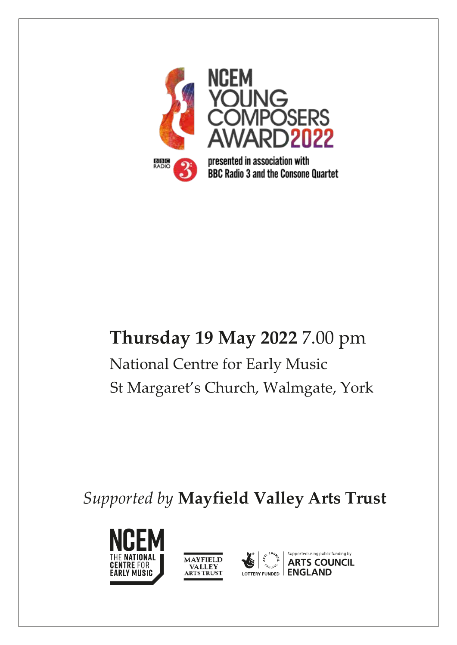

# **Thursday 19 May 2022** 7.00 pm National Centre for Early Music St Margaret's Church, Walmgate, York

*Supported by* **Mayfield Valley Arts Trust**





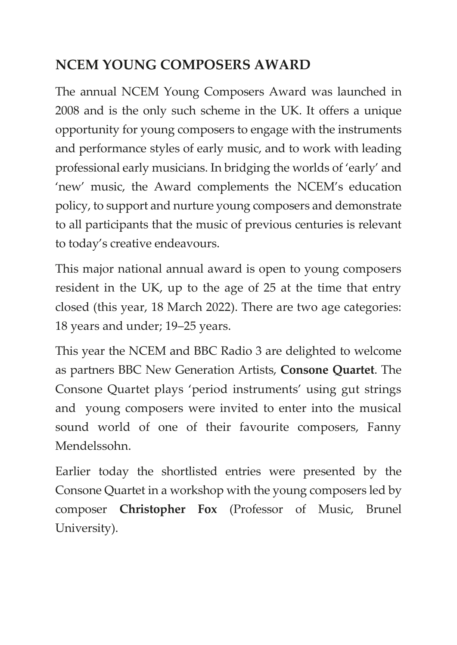# **NCEM YOUNG COMPOSERS AWARD**

The annual NCEM Young Composers Award was launched in 2008 and is the only such scheme in the UK. It offers a unique opportunity for young composers to engage with the instruments and performance styles of early music, and to work with leading professional early musicians. In bridging the worlds of 'early' and 'new' music, the Award complements the NCEM's education policy, to support and nurture young composers and demonstrate to all participants that the music of previous centuries is relevant to today's creative endeavours.

This major national annual award is open to young composers resident in the UK, up to the age of 25 at the time that entry closed (this year, 18 March 2022). There are two age categories: 18 years and under; 19–25 years.

This year the NCEM and BBC Radio 3 are delighted to welcome as partners BBC New Generation Artists, **Consone Quartet**. The Consone Quartet plays 'period instruments' using gut strings and young composers were invited to enter into the musical sound world of one of their favourite composers, Fanny Mendelssohn.

Earlier today the shortlisted entries were presented by the Consone Quartet in a workshop with the young composers led by composer **Christopher Fox** (Professor of Music, Brunel University).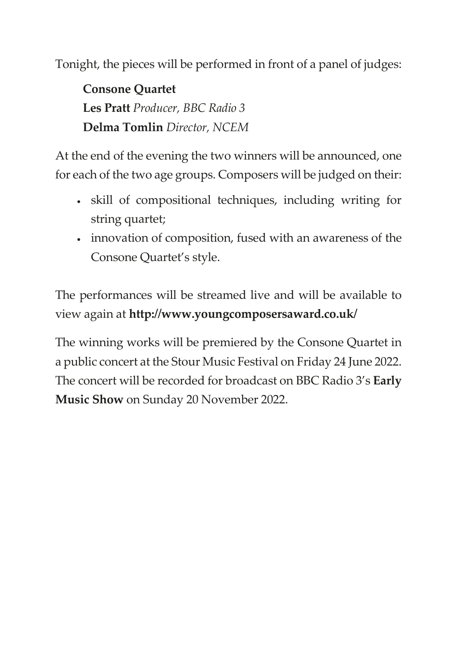Tonight, the pieces will be performed in front of a panel of judges:

**Consone Quartet Les Pratt** *Producer, BBC Radio 3* **Delma Tomlin** *Director, NCEM*

At the end of the evening the two winners will be announced, one for each of the two age groups. Composers will be judged on their:

- skill of compositional techniques, including writing for string quartet;
- innovation of composition, fused with an awareness of the Consone Quartet's style.

The performances will be streamed live and will be available to view again at **http://www.youngcomposersaward.co.uk/**

The winning works will be premiered by the Consone Quartet in a public concert at the Stour Music Festival on Friday 24 June 2022. The concert will be recorded for broadcast on BBC Radio 3's **Early Music Show** on Sunday 20 November 2022.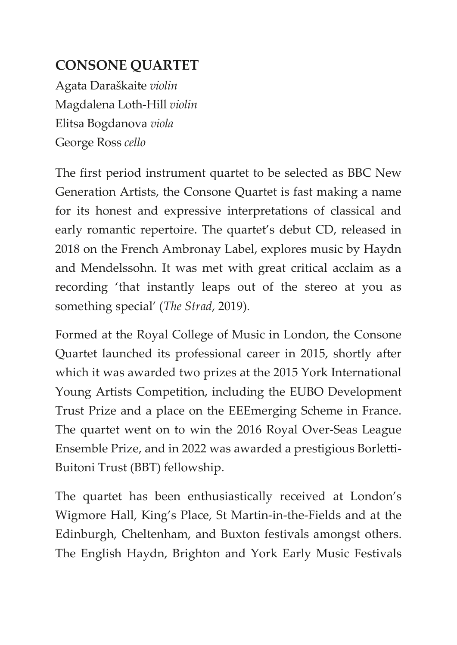# **CONSONE QUARTET**

Agata Daraškaite *violin* Magdalena Loth-Hill *violin* Elitsa Bogdanova *viola* George Ross *cello*

The first period instrument quartet to be selected as BBC New Generation Artists, the Consone Quartet is fast making a name for its honest and expressive interpretations of classical and early romantic repertoire. The quartet's debut CD, released in 2018 on the French Ambronay Label, explores music by Haydn and Mendelssohn. It was met with great critical acclaim as a recording 'that instantly leaps out of the stereo at you as something special' (*The Strad*, 2019).

Formed at the Royal College of Music in London, the Consone Quartet launched its professional career in 2015, shortly after which it was awarded two prizes at the 2015 York International Young Artists Competition, including the EUBO Development Trust Prize and a place on the EEEmerging Scheme in France. The quartet went on to win the 2016 Royal Over-Seas League Ensemble Prize, and in 2022 was awarded a prestigious Borletti-Buitoni Trust (BBT) fellowship.

The quartet has been enthusiastically received at London's Wigmore Hall, King's Place, St Martin-in-the-Fields and at the Edinburgh, Cheltenham, and Buxton festivals amongst others. The English Haydn, Brighton and York Early Music Festivals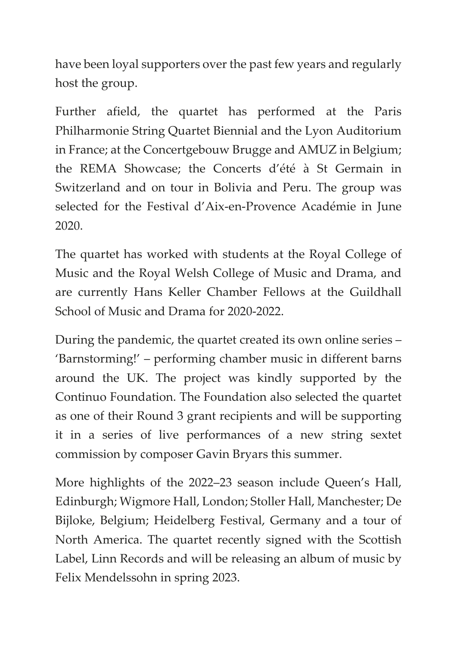have been loyal supporters over the past few years and regularly host the group.

Further afield, the quartet has performed at the Paris Philharmonie String Quartet Biennial and the Lyon Auditorium in France; at the Concertgebouw Brugge and AMUZ in Belgium; the REMA Showcase; the Concerts d'été à St Germain in Switzerland and on tour in Bolivia and Peru. The group was selected for the Festival d'Aix-en-Provence Académie in June 2020.

The quartet has worked with students at the Royal College of Music and the Royal Welsh College of Music and Drama, and are currently Hans Keller Chamber Fellows at the Guildhall School of Music and Drama for 2020-2022.

During the pandemic, the quartet created its own online series – 'Barnstorming!' – performing chamber music in different barns around the UK. The project was kindly supported by the Continuo Foundation. The Foundation also selected the quartet as one of their Round 3 grant recipients and will be supporting it in a series of live performances of a new string sextet commission by composer Gavin Bryars this summer.

More highlights of the 2022–23 season include Queen's Hall, Edinburgh; Wigmore Hall, London; Stoller Hall, Manchester; De Bijloke, Belgium; Heidelberg Festival, Germany and a tour of North America. The quartet recently signed with the Scottish Label, Linn Records and will be releasing an album of music by Felix Mendelssohn in spring 2023.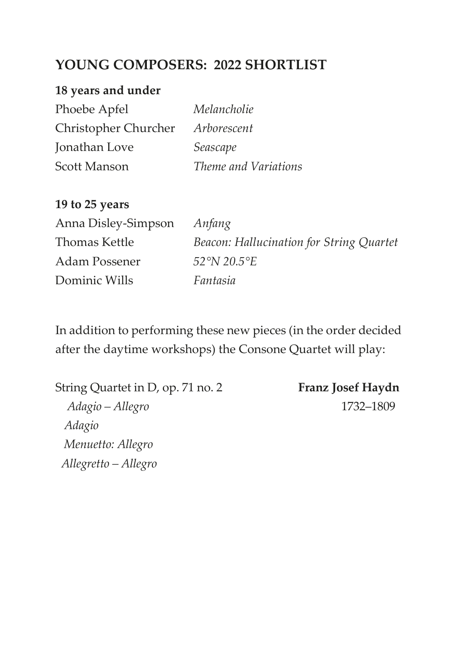# **YOUNG COMPOSERS: 2022 SHORTLIST**

#### **18 years and under**

| Phoebe Apfel         | Melancholie          |
|----------------------|----------------------|
| Christopher Churcher | Arborescent          |
| Jonathan Love        | Seascape             |
| Scott Manson         | Theme and Variations |

#### **19 to 25 years**

| Anna Disley-Simpson | Anfang                                   |
|---------------------|------------------------------------------|
| Thomas Kettle       | Beacon: Hallucination for String Quartet |
| Adam Possener       | $52^{\circ}N$ 20.5 $^{\circ}E$           |
| Dominic Wills       | Fantasia                                 |

In addition to performing these new pieces (in the order decided after the daytime workshops) the Consone Quartet will play:

String Quartet in D, op. 71 no. 2 **Franz Josef Haydn**  *Adagio – Allegro* 1732–1809 *Adagio Menuetto: Allegro Allegretto – Allegro*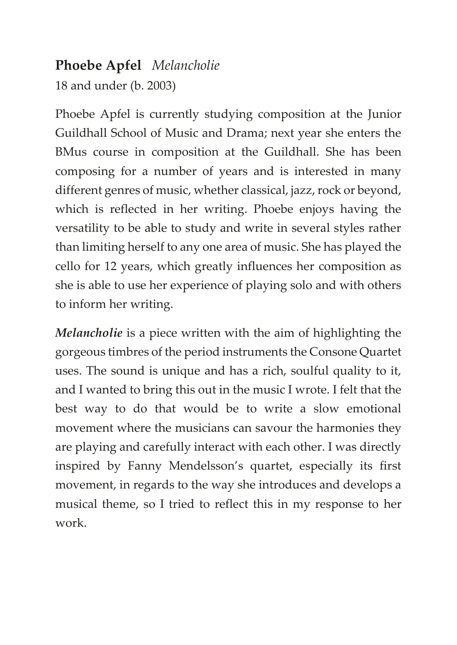### **Phoebe Apfel** *Melancholie*

18 and under (b. 2003)

Phoebe Apfel is currently studying composition at the Junior Guildhall School of Music and Drama; next year she enters the BMus course in composition at the Guildhall. She has been composing for a number of years and is interested in many different genres of music, whether classical, jazz, rock or beyond, which is reflected in her writing. Phoebe enjoys having the versatility to be able to study and write in several styles rather than limiting herself to any one area of music. She has played the cello for 12 years, which greatly influences her composition as she is able to use her experience of playing solo and with others to inform her writing.

*Melancholie* is a piece written with the aim of highlighting the gorgeous timbres of the period instruments the Consone Quartet uses. The sound is unique and has a rich, soulful quality to it, and I wanted to bring this out in the music I wrote. I felt that the best way to do that would be to write a slow emotional movement where the musicians can savour the harmonies they are playing and carefully interact with each other. I was directly inspired by Fanny Mendelsson's quartet, especially its first movement, in regards to the way she introduces and develops a musical theme, so I tried to reflect this in my response to her work.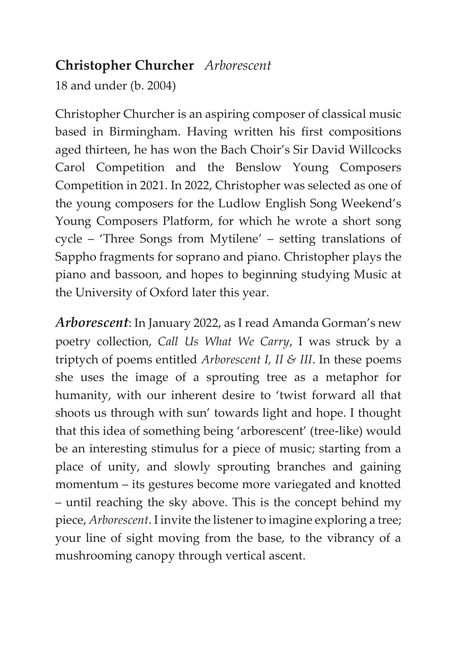## **Christopher Churcher** *Arborescent*

18 and under (b. 2004)

Christopher Churcher is an aspiring composer of classical music based in Birmingham. Having written his first compositions aged thirteen, he has won the Bach Choir's Sir David Willcocks Carol Competition and the Benslow Young Composers Competition in 2021. In 2022, Christopher was selected as one of the young composers for the Ludlow English Song Weekend's Young Composers Platform, for which he wrote a short song cycle – 'Three Songs from Mytilene' – setting translations of Sappho fragments for soprano and piano. Christopher plays the piano and bassoon, and hopes to beginning studying Music at the University of Oxford later this year.

*Arborescent*: In January 2022, as I read Amanda Gorman's new poetry collection, *Call Us What We Carry*, I was struck by a triptych of poems entitled *Arborescent I, II & III*. In these poems she uses the image of a sprouting tree as a metaphor for humanity, with our inherent desire to 'twist forward all that shoots us through with sun' towards light and hope. I thought that this idea of something being 'arborescent' (tree-like) would be an interesting stimulus for a piece of music; starting from a place of unity, and slowly sprouting branches and gaining momentum – its gestures become more variegated and knotted – until reaching the sky above. This is the concept behind my piece, *Arborescent*. I invite the listener to imagine exploring a tree; your line of sight moving from the base, to the vibrancy of a mushrooming canopy through vertical ascent.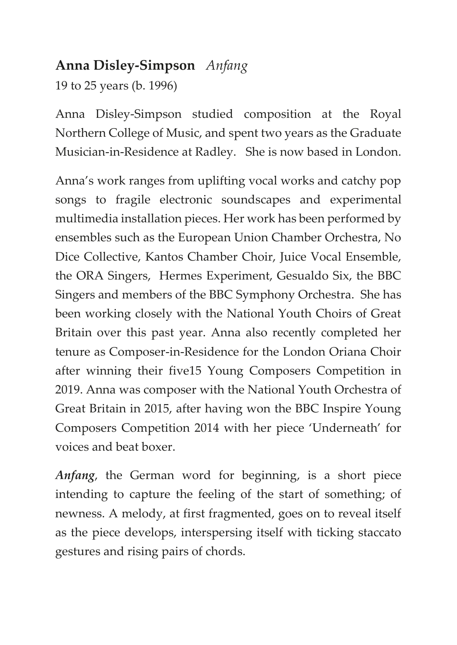## **Anna Disley-Simpson** *Anfang*

19 to 25 years (b. 1996)

Anna Disley-Simpson studied composition at the Royal Northern College of Music, and spent two years as the Graduate Musician-in-Residence at Radley. She is now based in London.

Anna's work ranges from uplifting vocal works and catchy pop songs to fragile electronic soundscapes and experimental multimedia installation pieces. Her work has been performed by ensembles such as the European Union Chamber Orchestra, No Dice Collective, Kantos Chamber Choir, Juice Vocal Ensemble, the ORA Singers, Hermes Experiment, Gesualdo Six, the BBC Singers and members of the BBC Symphony Orchestra. She has been working closely with the National Youth Choirs of Great Britain over this past year. Anna also recently completed her tenure as Composer-in-Residence for the London Oriana Choir after winning their five15 Young Composers Competition in 2019. Anna was composer with the National Youth Orchestra of Great Britain in 2015, after having won the BBC Inspire Young Composers Competition 2014 with her piece 'Underneath' for voices and beat boxer.

*Anfang*, the German word for beginning, is a short piece intending to capture the feeling of the start of something; of newness. A melody, at first fragmented, goes on to reveal itself as the piece develops, interspersing itself with ticking staccato gestures and rising pairs of chords.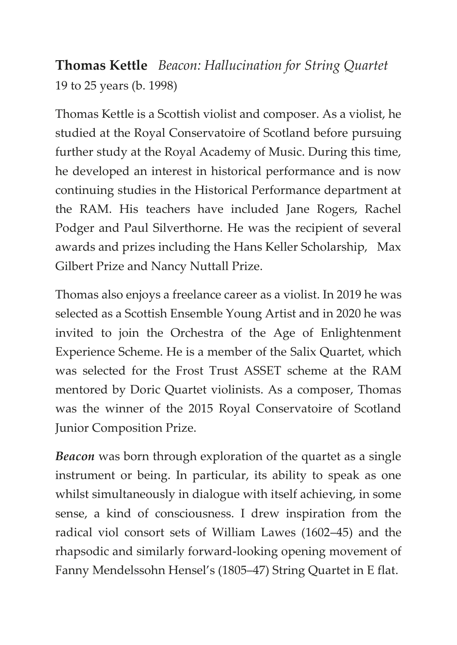**Thomas Kettle** *Beacon: Hallucination for String Quartet* 19 to 25 years (b. 1998)

Thomas Kettle is a Scottish violist and composer. As a violist, he studied at the Royal Conservatoire of Scotland before pursuing further study at the Royal Academy of Music. During this time, he developed an interest in historical performance and is now continuing studies in the Historical Performance department at the RAM. His teachers have included Jane Rogers, Rachel Podger and Paul Silverthorne. He was the recipient of several awards and prizes including the Hans Keller Scholarship, Max Gilbert Prize and Nancy Nuttall Prize.

Thomas also enjoys a freelance career as a violist. In 2019 he was selected as a Scottish Ensemble Young Artist and in 2020 he was invited to join the Orchestra of the Age of Enlightenment Experience Scheme. He is a member of the Salix Quartet, which was selected for the Frost Trust ASSET scheme at the RAM mentored by Doric Quartet violinists. As a composer, Thomas was the winner of the 2015 Royal Conservatoire of Scotland Junior Composition Prize.

*Beacon* was born through exploration of the quartet as a single instrument or being. In particular, its ability to speak as one whilst simultaneously in dialogue with itself achieving, in some sense, a kind of consciousness. I drew inspiration from the radical viol consort sets of William Lawes (1602–45) and the rhapsodic and similarly forward-looking opening movement of Fanny Mendelssohn Hensel's (1805–47) String Quartet in E flat.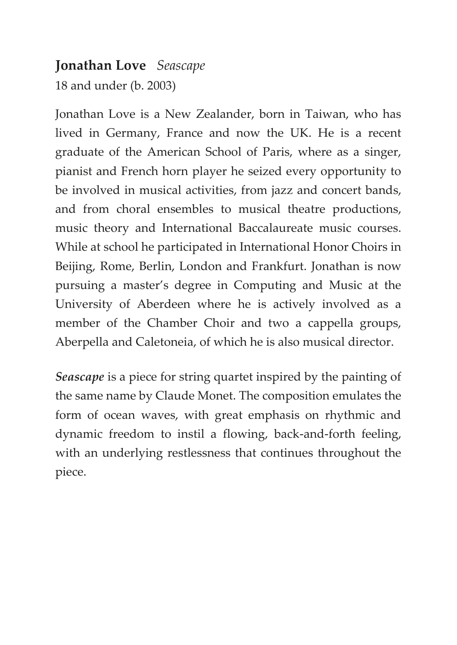#### **Jonathan Love** *Seascape*

18 and under (b. 2003)

Jonathan Love is a New Zealander, born in Taiwan, who has lived in Germany, France and now the UK. He is a recent graduate of the American School of Paris, where as a singer, pianist and French horn player he seized every opportunity to be involved in musical activities, from jazz and concert bands, and from choral ensembles to musical theatre productions, music theory and International Baccalaureate music courses. While at school he participated in International Honor Choirs in Beijing, Rome, Berlin, London and Frankfurt. Jonathan is now pursuing a master's degree in Computing and Music at the University of Aberdeen where he is actively involved as a member of the Chamber Choir and two a cappella groups, Aberpella and Caletoneia, of which he is also musical director.

*Seascape* is a piece for string quartet inspired by the painting of the same name by Claude Monet. The composition emulates the form of ocean waves, with great emphasis on rhythmic and dynamic freedom to instil a flowing, back-and-forth feeling, with an underlying restlessness that continues throughout the piece.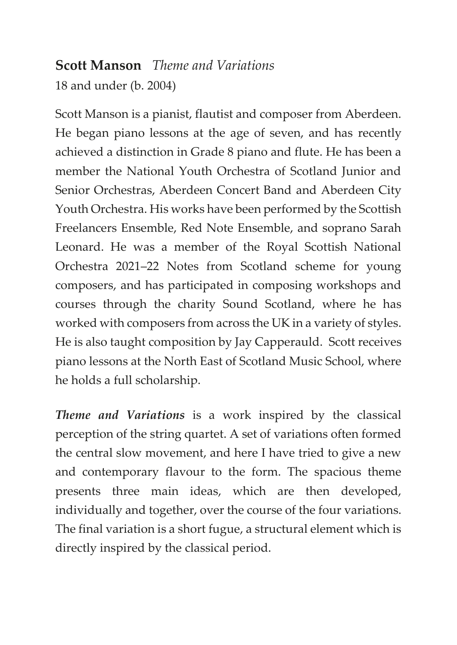# **Scott Manson** *Theme and Variations*

18 and under (b. 2004)

Scott Manson is a pianist, flautist and composer from Aberdeen. He began piano lessons at the age of seven, and has recently achieved a distinction in Grade 8 piano and flute. He has been a member the National Youth Orchestra of Scotland Junior and Senior Orchestras, Aberdeen Concert Band and Aberdeen City Youth Orchestra. His works have been performed by the Scottish Freelancers Ensemble, Red Note Ensemble, and soprano Sarah Leonard. He was a member of the Royal Scottish National Orchestra 2021–22 Notes from Scotland scheme for young composers, and has participated in composing workshops and courses through the charity Sound Scotland, where he has worked with composers from across the UK in a variety of styles. He is also taught composition by Jay Capperauld. Scott receives piano lessons at the North East of Scotland Music School, where he holds a full scholarship.

*Theme and Variations* is a work inspired by the classical perception of the string quartet. A set of variations often formed the central slow movement, and here I have tried to give a new and contemporary flavour to the form. The spacious theme presents three main ideas, which are then developed, individually and together, over the course of the four variations. The final variation is a short fugue, a structural element which is directly inspired by the classical period.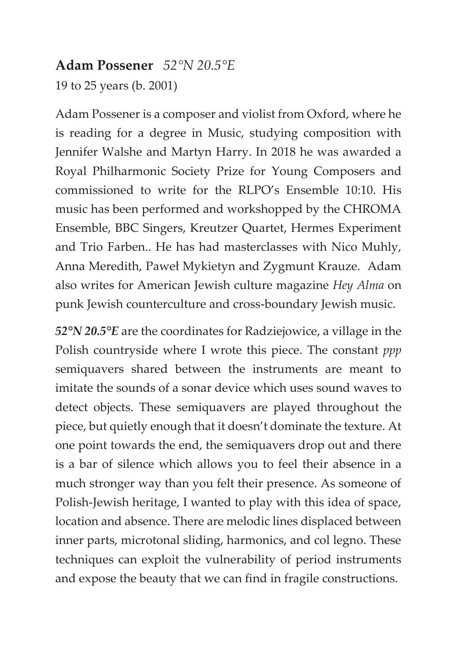#### **Adam Possener** *52°N 20.5°E*

19 to 25 years (b. 2001)

Adam Possener is a composer and violist from Oxford, where he is reading for a degree in Music, studying composition with Jennifer Walshe and Martyn Harry. In 2018 he was awarded a Royal Philharmonic Society Prize for Young Composers and commissioned to write for the RLPO's Ensemble 10:10. His music has been performed and workshopped by the CHROMA Ensemble, BBC Singers, Kreutzer Quartet, Hermes Experiment and Trio Farben.. He has had masterclasses with Nico Muhly, Anna Meredith, Paweł Mykietyn and Zygmunt Krauze. Adam also writes for American Jewish culture magazine *Hey Alma* on punk Jewish counterculture and cross-boundary Jewish music.

*52°N 20.5°E* are the coordinates for Radziejowice, a village in the Polish countryside where I wrote this piece. The constant *ppp* semiquavers shared between the instruments are meant to imitate the sounds of a sonar device which uses sound waves to detect objects. These semiquavers are played throughout the piece, but quietly enough that it doesn't dominate the texture. At one point towards the end, the semiquavers drop out and there is a bar of silence which allows you to feel their absence in a much stronger way than you felt their presence. As someone of Polish-Jewish heritage, I wanted to play with this idea of space, location and absence. There are melodic lines displaced between inner parts, microtonal sliding, harmonics, and col legno. These techniques can exploit the vulnerability of period instruments and expose the beauty that we can find in fragile constructions.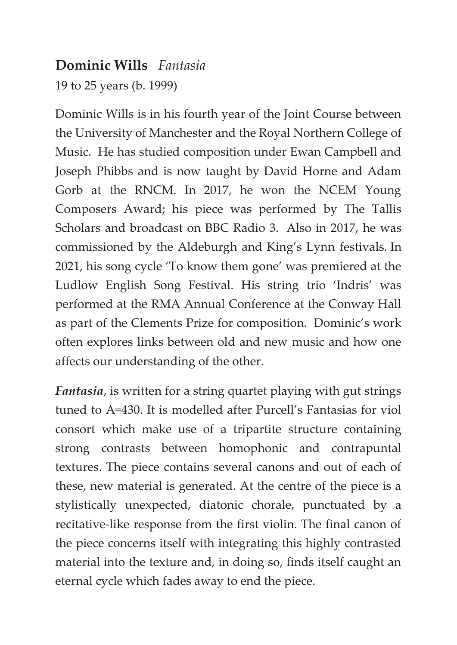#### **Dominic Wills** *Fantasia*

19 to 25 years (b. 1999)

Dominic Wills is in his fourth year of the Joint Course between the University of Manchester and the Royal Northern College of Music. He has studied composition under Ewan Campbell and Joseph Phibbs and is now taught by David Horne and Adam Gorb at the RNCM. In 2017, he won the NCEM Young Composers Award; his piece was performed by The Tallis Scholars and broadcast on BBC Radio 3. Also in 2017, he was commissioned by the Aldeburgh and King's Lynn festivals. In 2021, his song cycle 'To know them gone' was premiered at the Ludlow English Song Festival. His string trio 'Indris' was performed at the RMA Annual Conference at the Conway Hall as part of the Clements Prize for composition. Dominic's work often explores links between old and new music and how one affects our understanding of the other.

*Fantasia*, is written for a string quartet playing with gut strings tuned to A=430. It is modelled after Purcell's Fantasias for viol consort which make use of a tripartite structure containing strong contrasts between homophonic and contrapuntal textures. The piece contains several canons and out of each of these, new material is generated. At the centre of the piece is a stylistically unexpected, diatonic chorale, punctuated by a recitative-like response from the first violin. The final canon of the piece concerns itself with integrating this highly contrasted material into the texture and, in doing so, finds itself caught an eternal cycle which fades away to end the piece.